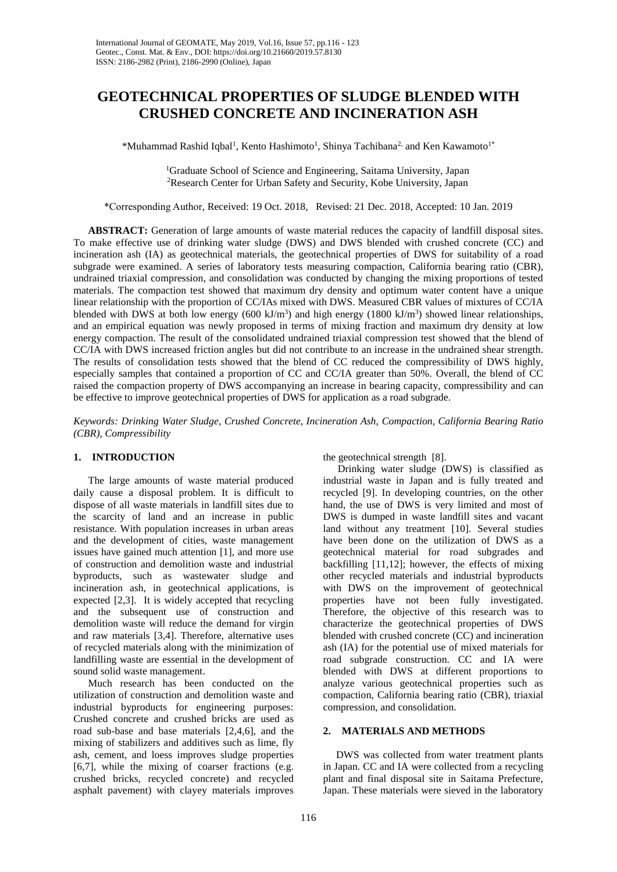# **GEOTECHNICAL PROPERTIES OF SLUDGE BLENDED WITH CRUSHED CONCRETE AND INCINERATION ASH**

\*Muhammad Rashid Iqbal<sup>1</sup>, Kento Hashimoto<sup>1</sup>, Shinya Tachibana<sup>2,</sup> and Ken Kawamoto<sup>1\*</sup>

<sup>1</sup>Graduate School of Science and Engineering, Saitama University, Japan <sup>2</sup>Research Center for Urban Safety and Security, Kobe University, Japan

\*Corresponding Author, Received: 19 Oct. 2018, Revised: 21 Dec. 2018, Accepted: 10 Jan. 2019

**ABSTRACT:** Generation of large amounts of waste material reduces the capacity of landfill disposal sites. To make effective use of drinking water sludge (DWS) and DWS blended with crushed concrete (CC) and incineration ash (IA) as geotechnical materials, the geotechnical properties of DWS for suitability of a road subgrade were examined. A series of laboratory tests measuring compaction, California bearing ratio (CBR), undrained triaxial compression, and consolidation was conducted by changing the mixing proportions of tested materials. The compaction test showed that maximum dry density and optimum water content have a unique linear relationship with the proportion of CC/IAs mixed with DWS. Measured CBR values of mixtures of CC/IA blended with DWS at both low energy (600 kJ/m<sup>3</sup>) and high energy (1800 kJ/m<sup>3</sup>) showed linear relationships, and an empirical equation was newly proposed in terms of mixing fraction and maximum dry density at low energy compaction. The result of the consolidated undrained triaxial compression test showed that the blend of CC/IA with DWS increased friction angles but did not contribute to an increase in the undrained shear strength. The results of consolidation tests showed that the blend of CC reduced the compressibility of DWS highly, especially samples that contained a proportion of CC and CC/IA greater than 50%. Overall, the blend of CC raised the compaction property of DWS accompanying an increase in bearing capacity, compressibility and can be effective to improve geotechnical properties of DWS for application as a road subgrade.

*Keywords: Drinking Water Sludge, Crushed Concrete, Incineration Ash, Compaction, California Bearing Ratio (CBR), Compressibility*

# **1. INTRODUCTION**

The large amounts of waste material produced daily cause a disposal problem. It is difficult to dispose of all waste materials in landfill sites due to the scarcity of land and an increase in public resistance. With population increases in urban areas and the development of cities, waste management issues have gained much attention [1], and more use of construction and demolition waste and industrial byproducts, such as wastewater sludge and incineration ash, in geotechnical applications, is expected [2,3]. It is widely accepted that recycling and the subsequent use of construction and demolition waste will reduce the demand for virgin and raw materials [3,4]. Therefore, alternative uses of recycled materials along with the minimization of landfilling waste are essential in the development of sound solid waste management.

Much research has been conducted on the utilization of construction and demolition waste and industrial byproducts for engineering purposes: Crushed concrete and crushed bricks are used as road sub-base and base materials [2,4,6], and the mixing of stabilizers and additives such as lime, fly ash, cement, and loess improves sludge properties [6,7], while the mixing of coarser fractions (e.g. crushed bricks, recycled concrete) and recycled asphalt pavement) with clayey materials improves the geotechnical strength [8].

Drinking water sludge (DWS) is classified as industrial waste in Japan and is fully treated and recycled [9]. In developing countries, on the other hand, the use of DWS is very limited and most of DWS is dumped in waste landfill sites and vacant land without any treatment [10]. Several studies have been done on the utilization of DWS as a geotechnical material for road subgrades and backfilling [11,12]; however, the effects of mixing other recycled materials and industrial byproducts with DWS on the improvement of geotechnical properties have not been fully investigated. Therefore, the objective of this research was to characterize the geotechnical properties of DWS blended with crushed concrete (CC) and incineration ash (IA) for the potential use of mixed materials for road subgrade construction. CC and IA were blended with DWS at different proportions to analyze various geotechnical properties such as compaction, California bearing ratio (CBR), triaxial compression, and consolidation.

# **2. MATERIALS AND METHODS**

 DWS was collected from water treatment plants in Japan. CC and IA were collected from a recycling plant and final disposal site in Saitama Prefecture, Japan. These materials were sieved in the laboratory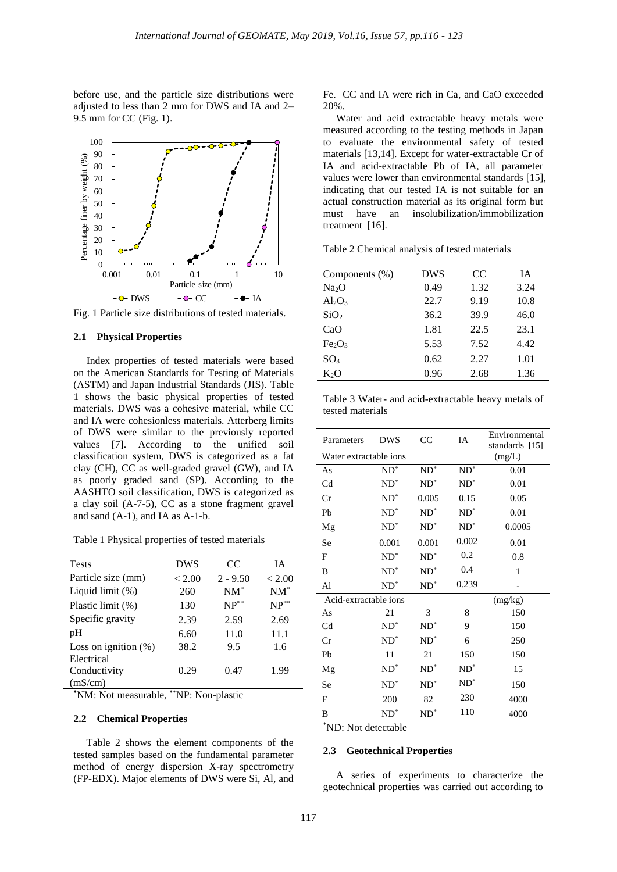before use, and the particle size distributions were adjusted to less than 2 mm for DWS and IA and 2– 9.5 mm for CC (Fig. 1).



Fig. 1 Particle size distributions of tested materials.

## **2.1 Physical Properties**

 Index properties of tested materials were based on the American Standards for Testing of Materials (ASTM) and Japan Industrial Standards (JIS). Table 1 shows the basic physical properties of tested materials. DWS was a cohesive material, while CC and IA were cohesionless materials. Atterberg limits of DWS were similar to the previously reported values [7]. According to the unified soil classification system, DWS is categorized as a fat clay (CH), CC as well-graded gravel (GW), and IA as poorly graded sand (SP). According to the AASHTO soil classification, DWS is categorized as a clay soil (A-7-5), CC as a stone fragment gravel and sand  $(A-1)$ , and  $IA$  as  $A-1-b$ .

Table 1 Physical properties of tested materials

| <b>Tests</b>            | DWS    | CC         | ĪА        |
|-------------------------|--------|------------|-----------|
| Particle size (mm)      | < 2.00 | $2 - 9.50$ | < 2.00    |
| Liquid limit $(\%)$     | 260    | $NM^*$     | $NM^*$    |
| Plastic limit (%)       | 130    | $NP^{**}$  | $NP^{**}$ |
| Specific gravity        | 2.39   | 2.59       | 2.69      |
| pH                      | 6.60   | 11.0       | 11.1      |
| Loss on ignition $(\%)$ | 38.2   | 9.5        | 1.6       |
| Electrical              |        |            |           |
| Conductivity            | 0.29   | 0.47       | 1.99      |
| (mS/cm)                 |        |            |           |

**\***NM: Not measurable, \*\*NP: Non-plastic

## **2.2 Chemical Properties**

Table 2 shows the element components of the tested samples based on the fundamental parameter method of energy dispersion X-ray spectrometry (FP-EDX). Major elements of DWS were Si, Al, and Fe. CC and IA were rich in Ca, and CaO exceeded 20%.

 Water and acid extractable heavy metals were measured according to the testing methods in Japan to evaluate the environmental safety of tested materials [13,14]. Except for water-extractable Cr of IA and acid-extractable Pb of IA, all parameter values were lower than environmental standards [15], indicating that our tested IA is not suitable for an actual construction material as its original form but must have an insolubilization/immobilization treatment [16].

Table 2 Chemical analysis of tested materials

| Components (%)                 | <b>DWS</b> | <sub>CC</sub> | ĪА   |
|--------------------------------|------------|---------------|------|
| Na <sub>2</sub> O              | 0.49       | 1.32          | 3.24 |
| $Al_2O_3$                      | 22.7       | 9.19          | 10.8 |
| SiO <sub>2</sub>               | 36.2       | 39.9          | 46.0 |
| CaO                            | 1.81       | 22.5          | 23.1 |
| Fe <sub>2</sub> O <sub>3</sub> | 5.53       | 7.52          | 4.42 |
| SO <sub>3</sub>                | 0.62       | 2.27          | 1.01 |
| К2O                            | 0.96       | 2.68          | 1.36 |

Table 3 Water- and acid-extractable heavy metals of tested materials

| Parameters             | <b>DWS</b>      | CC     | IA              | Environmental<br>standards [15] |
|------------------------|-----------------|--------|-----------------|---------------------------------|
| Water extractable ions |                 |        |                 | (mg/L)                          |
| As                     | $ND^*$          | $ND^*$ | $\mathrm{ND}^*$ | 0.01                            |
| Cd                     | $ND^*$          | $ND^*$ | $ND^*$          | 0.01                            |
| Cr                     | $\mathrm{ND}^*$ | 0.005  | 0.15            | 0.05                            |
| Pb                     | $ND^*$          | $ND^*$ | $ND^*$          | 0.01                            |
| Mg                     | $ND^*$          | $ND^*$ | $ND^*$          | 0.0005                          |
| Se                     | 0.001           | 0.001  | 0.002           | 0.01                            |
| F                      | $ND^*$          | $ND^*$ | 0.2             | 0.8                             |
| B                      | $ND^*$          | $ND^*$ | 0.4             | 1                               |
| Al                     | $ND^*$          | $ND^*$ | 0.239           |                                 |
| Acid-extractable ions  |                 |        |                 | (mg/kg)                         |
| As                     | 21              | 3      | 8               | 150                             |
| Cd                     | $ND^*$          | $ND^*$ | 9               | 150                             |
| Cr                     | $ND^*$          | $ND^*$ | 6               | 250                             |
| Pb                     | 11              | 21     | 150             | 150                             |
| Mg                     | $ND^*$          | $ND^*$ | $ND^*$          | 15                              |
| Se                     | $ND^*$          | $ND^*$ | $ND^*$          | 150                             |
| F                      | 200             | 82     | 230             | 4000                            |
| B                      | $\mathrm{ND}^*$ | $ND^*$ | 110             | 4000                            |

\*ND: Not detectable

## **2.3 Geotechnical Properties**

 A series of experiments to characterize the geotechnical properties was carried out according to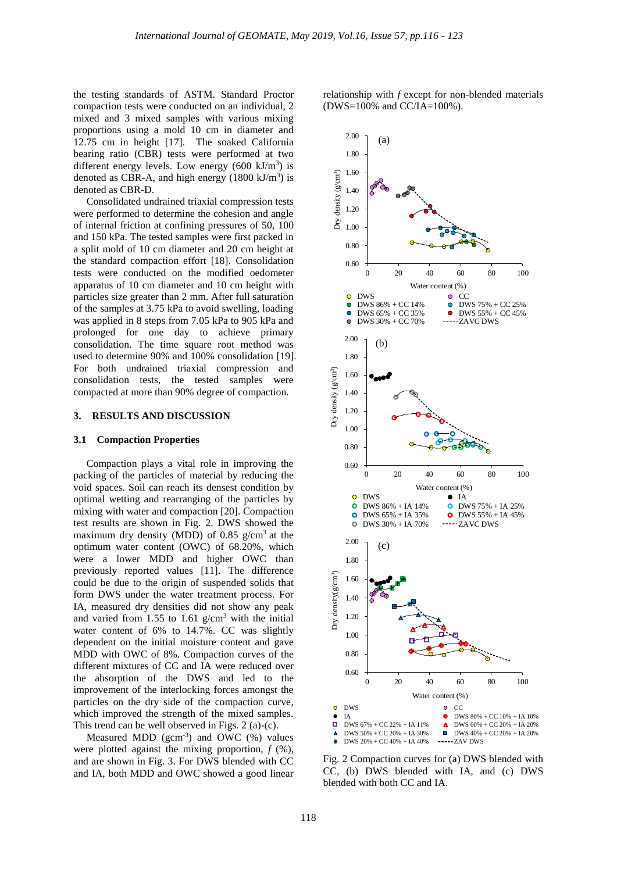the testing standards of ASTM. Standard Proctor compaction tests were conducted on an individual, 2 mixed and 3 mixed samples with various mixing proportions using a mold 10 cm in diameter and 12.75 cm in height [17]. The soaked California bearing ratio (CBR) tests were performed at two different energy levels. Low energy  $(600 \text{ kJ/m}^3)$  is denoted as CBR-A, and high energy  $(1800 \text{ kJ/m}^3)$  is denoted as CBR-D.

 Consolidated undrained triaxial compression tests were performed to determine the cohesion and angle of internal friction at confining pressures of 50, 100 and 150 kPa. The tested samples were first packed in a split mold of 10 cm diameter and 20 cm height at the standard compaction effort [18]. Consolidation tests were conducted on the modified oedometer apparatus of 10 cm diameter and 10 cm height with particles size greater than 2 mm. After full saturation of the samples at 3.75 kPa to avoid swelling, loading was applied in 8 steps from 7.05 kPa to 905 kPa and prolonged for one day to achieve primary consolidation. The time square root method was used to determine 90% and 100% consolidation [19]. For both undrained triaxial compression and consolidation tests, the tested samples were compacted at more than 90% degree of compaction.

## **3. RESULTS AND DISCUSSION**

#### **3.1 Compaction Properties**

Compaction plays a vital role in improving the packing of the particles of material by reducing the void spaces. Soil can reach its densest condition by optimal wetting and rearranging of the particles by mixing with water and compaction [20]. Compaction test results are shown in Fig. 2. DWS showed the maximum dry density (MDD) of 0.85  $g/cm<sup>3</sup>$  at the optimum water content (OWC) of 68.20%, which were a lower MDD and higher OWC than previously reported values [11]. The difference could be due to the origin of suspended solids that form DWS under the water treatment process. For IA, measured dry densities did not show any peak and varied from 1.55 to 1.61  $g/cm<sup>3</sup>$  with the initial water content of 6% to 14.7%. CC was slightly dependent on the initial moisture content and gave MDD with OWC of 8%. Compaction curves of the different mixtures of CC and IA were reduced over the absorption of the DWS and led to the improvement of the interlocking forces amongst the particles on the dry side of the compaction curve, which improved the strength of the mixed samples. This trend can be well observed in Figs. 2 (a)-(c).

Measured MDD  $(gcm^{-3})$  and OWC  $(\%)$  values were plotted against the mixing proportion,  $f$  (%), and are shown in Fig. 3. For DWS blended with CC and IA, both MDD and OWC showed a good linear

relationship with *f* except for non-blended materials (DWS=100% and CC/IA=100%).



Fig. 2 Compaction curves for (a) DWS blended with CC, (b) DWS blended with IA, and (c) DWS blended with both CC and IA.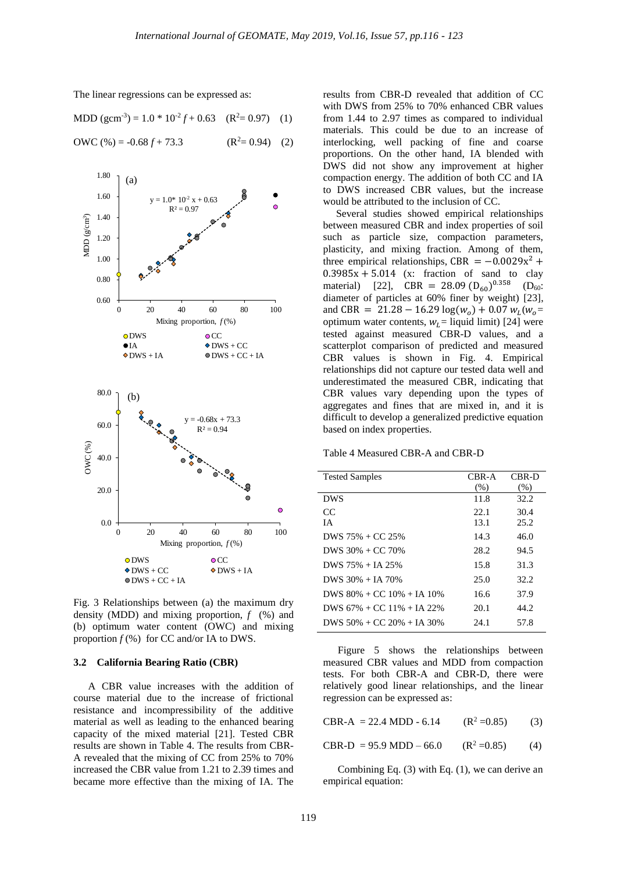

The linear regressions can be expressed as:

MDD (gcm<sup>-3</sup>) = 
$$
1.0 * 10^{-2} f + 0.63
$$
 (R<sup>2</sup>= 0.97) (1)

$$
OWC (\%) = -0.68 f + 73.3 \qquad (R^2 = 0.94) \quad (2)
$$

Fig. 3 Relationships between (a) the maximum dry density (MDD) and mixing proportion, *f* (%) and (b) optimum water content (OWC) and mixing proportion  $f$  (%) for CC and/or IA to DWS.

#### **3.2 California Bearing Ratio (CBR)**

A CBR value increases with the addition of course material due to the increase of frictional resistance and incompressibility of the additive material as well as leading to the enhanced bearing capacity of the mixed material [21]. Tested CBR results are shown in Table 4. The results from CBR-A revealed that the mixing of CC from 25% to 70% increased the CBR value from 1.21 to 2.39 times and became more effective than the mixing of IA. The results from CBR-D revealed that addition of CC with DWS from 25% to 70% enhanced CBR values from 1.44 to 2.97 times as compared to individual materials. This could be due to an increase of interlocking, well packing of fine and coarse proportions. On the other hand, IA blended with DWS did not show any improvement at higher compaction energy. The addition of both CC and IA to DWS increased CBR values, but the increase would be attributed to the inclusion of CC.

 Several studies showed empirical relationships between measured CBR and index properties of soil such as particle size, compaction parameters, plasticity, and mixing fraction. Among of them, three empirical relationships, CBR =  $-0.0029x^2$  +  $0.3985x + 5.014$  (x: fraction of sand to clay material) [22],  $CBR = 28.09 (D_{60})^{0.358}$  (D<sub>60</sub>: diameter of particles at 60% finer by weight) [23], and CBR = 21.28 – 16.29  $log(w_0) + 0.07 w_L(w_0 =$ optimum water contents,  $w_l$  = liquid limit) [24] were tested against measured CBR-D values, and a scatterplot comparison of predicted and measured CBR values is shown in Fig. 4. Empirical relationships did not capture our tested data well and underestimated the measured CBR, indicating that CBR values vary depending upon the types of aggregates and fines that are mixed in, and it is difficult to develop a generalized predictive equation based on index properties.

#### Table 4 Measured CBR-A and CBR-D

| <b>Tested Samples</b>              | CBR-A | CBR-D |
|------------------------------------|-------|-------|
|                                    | (%)   | (% )  |
| <b>DWS</b>                         | 11.8  | 32.2  |
| CC                                 | 22.1  | 30.4  |
| <b>IA</b>                          | 13.1  | 25.2  |
| DWS $75\%$ + CC 25%                | 14.3  | 46.0  |
| DWS $30\% + CC$ 70%                | 28.2  | 94.5  |
| DWS $75\% + IA$ 25%                | 15.8  | 31.3  |
| DWS $30\% + IA$ 70\%               | 25.0  | 32.2  |
| DWS $80\% + CC$ $10\% + IA$ $10\%$ | 16.6  | 37.9  |
| DWS $67\% + CC$ 11\% + IA 22\%     | 20.1  | 44.2  |
| DWS $50\% + CC$ $20\% + IA$ 30%    | 24.1  | 57.8  |
|                                    |       |       |

Figure 5 shows the relationships between measured CBR values and MDD from compaction tests. For both CBR-A and CBR-D, there were relatively good linear relationships, and the linear regression can be expressed as:

CBR-A = 22.4 MDD - 6.14  $(R^2 = 0.85)$  (3)

CBR-D = 95.9 MDD – 66.0 
$$
(R^2 = 0.85)
$$
 (4)

Combining Eq. (3) with Eq. (1), we can derive an empirical equation: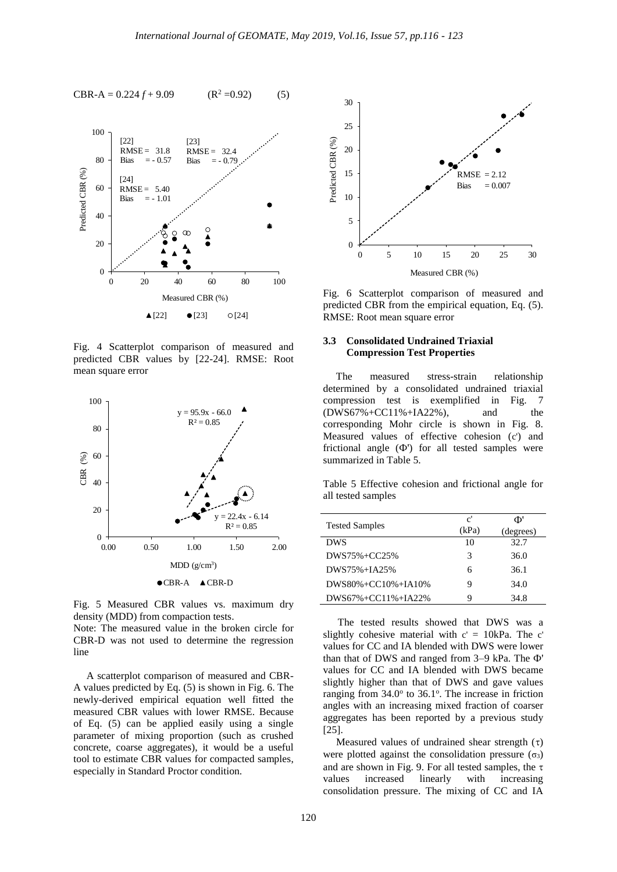

Fig. 4 Scatterplot comparison of measured and predicted CBR values by [22-24]. RMSE: Root mean square error



Fig. 5 Measured CBR values vs. maximum dry density (MDD) from compaction tests.

Note: The measured value in the broken circle for CBR-D was not used to determine the regression line

 A scatterplot comparison of measured and CBR-A values predicted by Eq. (5) is shown in Fig. 6. The newly-derived empirical equation well fitted the measured CBR values with lower RMSE. Because of Eq. (5) can be applied easily using a single parameter of mixing proportion (such as crushed concrete, coarse aggregates), it would be a useful tool to estimate CBR values for compacted samples, especially in Standard Proctor condition.



Fig. 6 Scatterplot comparison of measured and predicted CBR from the empirical equation, Eq. (5). RMSE: Root mean square error

# **3.3 Consolidated Undrained Triaxial Compression Test Properties**

 The measured stress-strain relationship determined by a consolidated undrained triaxial compression test is exemplified in Fig. 7 (DWS67%+CC11%+IA22%), and the corresponding Mohr circle is shown in Fig. 8. Measured values of effective cohesion (c') and frictional angle  $(\Phi)$  for all tested samples were summarized in Table 5.

Table 5 Effective cohesion and frictional angle for all tested samples

|                       | $\mathbf{c}^{\prime}$ | Ф'        |
|-----------------------|-----------------------|-----------|
| <b>Tested Samples</b> | (kPa)                 | (degrees) |
| <b>DWS</b>            | 10                    | 32.7      |
| DWS75%+CC25%          | 3                     | 36.0      |
| DWS75%+IA25%          | 6                     | 36.1      |
| DWS80%+CC10%+IA10%    | Q                     | 34.0      |
| DWS67%+CC11%+IA22%    | Q                     | 34.8      |

The tested results showed that DWS was a slightly cohesive material with  $c' = 10kPa$ . The c' values for CC and IA blended with DWS were lower than that of DWS and ranged from 3–9 kPa. The Ф' values for CC and IA blended with DWS became slightly higher than that of DWS and gave values ranging from  $34.0^{\circ}$  to  $36.1^{\circ}$ . The increase in friction angles with an increasing mixed fraction of coarser aggregates has been reported by a previous study [25].

Measured values of undrained shear strength  $(\tau)$ were plotted against the consolidation pressure  $(\sigma_3)$ and are shown in Fig. 9. For all tested samples, the  $\tau$ values increased linearly with increasing consolidation pressure. The mixing of CC and IA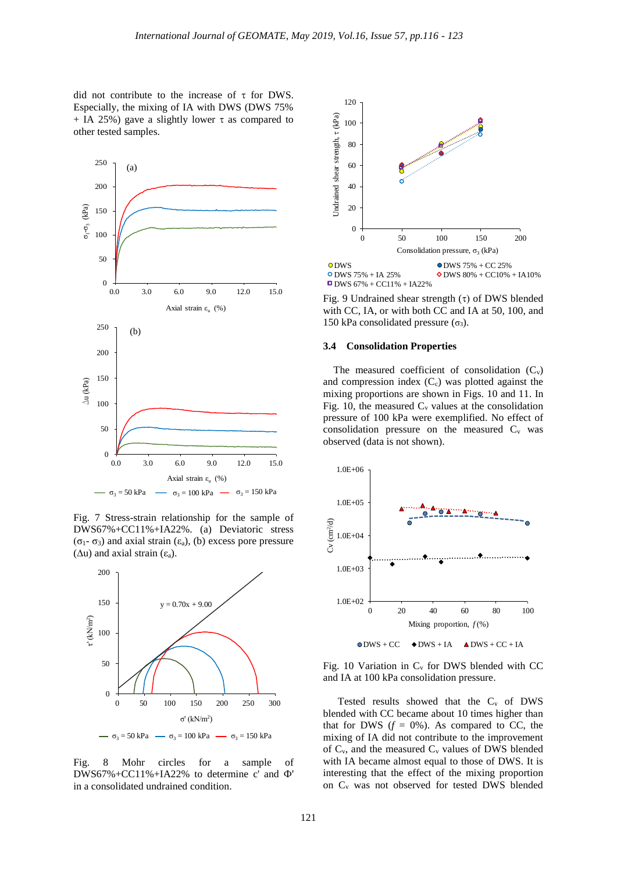did not contribute to the increase of  $\tau$  for DWS. Especially, the mixing of IA with DWS (DWS 75% + IA 25%) gave a slightly lower  $\tau$  as compared to other tested samples.



Fig. 7 Stress-strain relationship for the sample of DWS67%+CC11%+IA22%. (a) Deviatoric stress (σ1- σ3) and axial strain (εa), (b) excess pore pressure ( $Δu$ ) and axial strain (ε<sub>a</sub>).



Fig. 8 Mohr circles for a sample of DWS67%+CC11%+IA22% to determine c' and Ф' in a consolidated undrained condition.



Fig. 9 Undrained shear strength  $(\tau)$  of DWS blended with CC, IA, or with both CC and IA at 50, 100, and 150 kPa consolidated pressure  $(\sigma_3)$ .

## **3.4 Consolidation Properties**

The measured coefficient of consolidation  $(C_v)$ and compression index  $(C_c)$  was plotted against the mixing proportions are shown in Figs. 10 and 11. In Fig. 10, the measured  $C_v$  values at the consolidation pressure of 100 kPa were exemplified. No effect of consolidation pressure on the measured  $C_v$  was observed (data is not shown).



Fig. 10 Variation in  $C_v$  for DWS blended with CC and IA at 100 kPa consolidation pressure.

Tested results showed that the  $C_v$  of DWS blended with CC became about 10 times higher than that for DWS  $(f = 0\%)$ . As compared to CC, the mixing of IA did not contribute to the improvement of  $C_v$ , and the measured  $C_v$  values of DWS blended with IA became almost equal to those of DWS. It is interesting that the effect of the mixing proportion on C<sup>v</sup> was not observed for tested DWS blended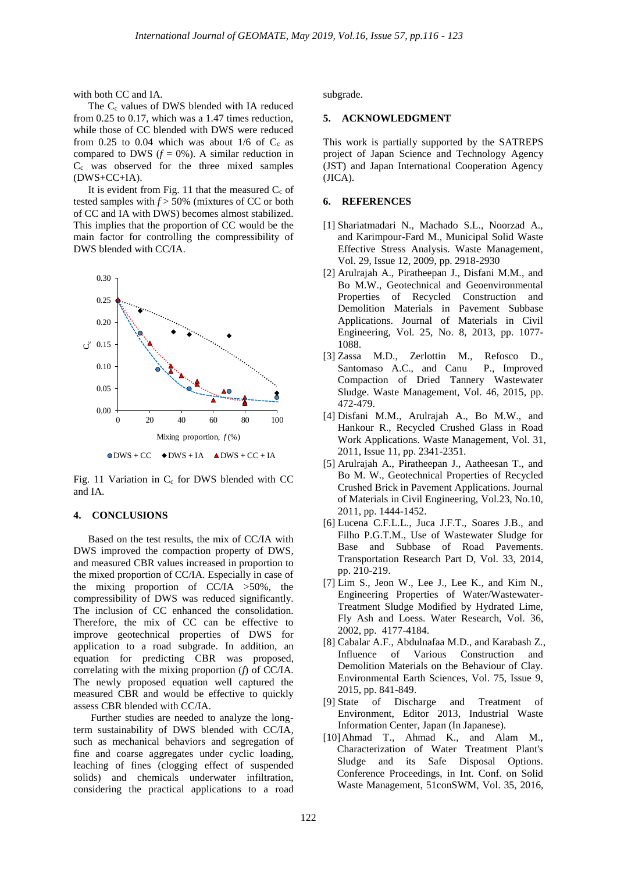with both CC and IA.

The  $C_c$  values of DWS blended with IA reduced from 0.25 to 0.17, which was a 1.47 times reduction, while those of CC blended with DWS were reduced from 0.25 to 0.04 which was about  $1/6$  of  $C_c$  as compared to DWS  $(f = 0\%)$ . A similar reduction in C<sup>c</sup> was observed for the three mixed samples (DWS+CC+IA).

It is evident from Fig. 11 that the measured  $C_c$  of tested samples with  $f$  > 50% (mixtures of CC or both of CC and IA with DWS) becomes almost stabilized. This implies that the proportion of CC would be the main factor for controlling the compressibility of DWS blended with CC/IA.



Fig. 11 Variation in  $C_c$  for DWS blended with CC and IA.

# **4. CONCLUSIONS**

Based on the test results, the mix of CC/IA with DWS improved the compaction property of DWS, and measured CBR values increased in proportion to the mixed proportion of CC/IA. Especially in case of the mixing proportion of  $CC/IA > 50\%$ , the compressibility of DWS was reduced significantly. The inclusion of CC enhanced the consolidation. Therefore, the mix of CC can be effective to improve geotechnical properties of DWS for application to a road subgrade. In addition, an equation for predicting CBR was proposed, correlating with the mixing proportion (*f*) of CC/IA. The newly proposed equation well captured the measured CBR and would be effective to quickly assess CBR blended with CC/IA.

Further studies are needed to analyze the longterm sustainability of DWS blended with CC/IA, such as mechanical behaviors and segregation of fine and coarse aggregates under cyclic loading, leaching of fines (clogging effect of suspended solids) and chemicals underwater infiltration, considering the practical applications to a road

subgrade.

#### **5. ACKNOWLEDGMENT**

This work is partially supported by the SATREPS project of Japan Science and Technology Agency (JST) and Japan International Cooperation Agency (JICA).

# **6. REFERENCES**

- [1] Shariatmadari N., Machado S.L., Noorzad A., and Karimpour-Fard M., Municipal Solid Waste Effective Stress Analysis. Waste Management, Vol. 29, Issue 12, 2009, pp. 2918-2930
- [2] Arulrajah A., Piratheepan J., Disfani M.M., and Bo M.W., Geotechnical and Geoenvironmental Properties of Recycled Construction and Demolition Materials in Pavement Subbase Applications. Journal of Materials in Civil Engineering, Vol. 25, No. 8, 2013, pp. 1077- 1088.
- [3] Zassa M.D., Zerlottin M., Refosco D., Santomaso A.C., and Canu P., Improved Compaction of Dried Tannery Wastewater Sludge. Waste Management, Vol. 46, 2015, pp. 472-479.
- [4] Disfani M.M., Arulrajah A., Bo M.W., and Hankour R., Recycled Crushed Glass in Road Work Applications. Waste Management, Vol. 31, 2011, Issue 11, pp. 2341-2351.
- [5] Arulrajah A., Piratheepan J., Aatheesan T., and Bo M. W., Geotechnical Properties of Recycled Crushed Brick in Pavement Applications. Journal of Materials in Civil Engineering, Vol.23, No.10, 2011, pp. 1444-1452.
- [6] Lucena C.F.L.L., Juca J.F.T., Soares J.B., and Filho P.G.T.M., Use of Wastewater Sludge for Base and Subbase of Road Pavements. Transportation Research Part D, Vol. 33, 2014, pp. 210-219.
- [7] Lim S., Jeon W., Lee J., Lee K., and Kim N., Engineering Properties of Water/Wastewater-Treatment Sludge Modified by Hydrated Lime, Fly Ash and Loess. Water Research, Vol. 36, 2002, pp. 4177-4184.
- [8] Cabalar A.F., Abdulnafaa M.D., and Karabash Z., Influence of Various Construction and Demolition Materials on the Behaviour of Clay. Environmental Earth Sciences, Vol. 75, Issue 9, 2015, pp. 841-849.
- [9] State of Discharge and Treatment of Environment, Editor 2013, Industrial Waste Information Center, Japan (In Japanese).
- [10]Ahmad T., Ahmad K., and Alam M., Characterization of Water Treatment Plant's Sludge and its Safe Disposal Options. Conference Proceedings, in Int. Conf. on Solid Waste Management, 51conSWM, Vol. 35, 2016,